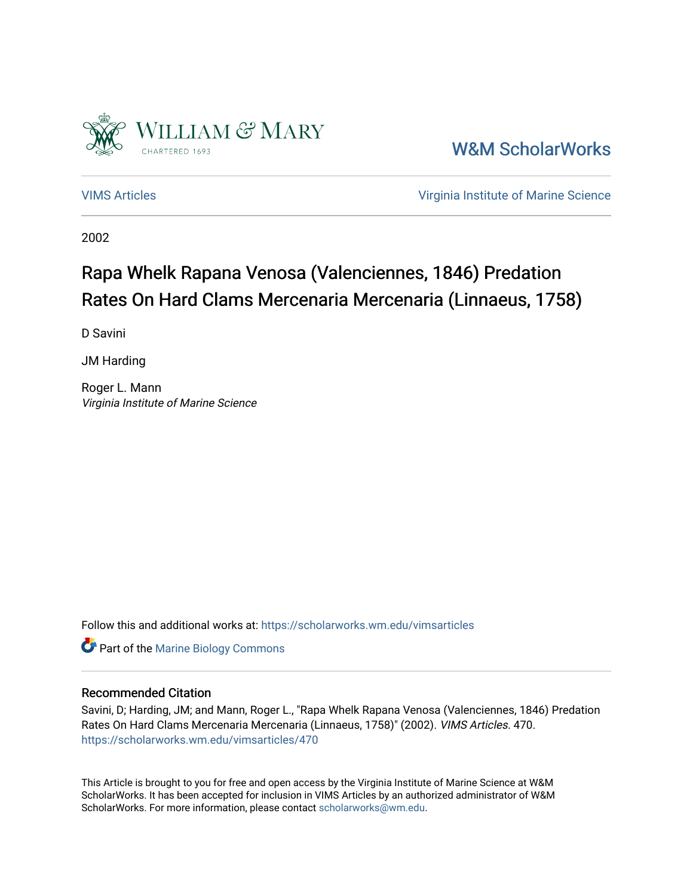

[W&M ScholarWorks](https://scholarworks.wm.edu/) 

[VIMS Articles](https://scholarworks.wm.edu/vimsarticles) [Virginia Institute of Marine Science](https://scholarworks.wm.edu/vims) 

2002

### Rapa Whelk Rapana Venosa (Valenciennes, 1846) Predation Rates On Hard Clams Mercenaria Mercenaria (Linnaeus, 1758)

D Savini

JM Harding

Roger L. Mann Virginia Institute of Marine Science

Follow this and additional works at: [https://scholarworks.wm.edu/vimsarticles](https://scholarworks.wm.edu/vimsarticles?utm_source=scholarworks.wm.edu%2Fvimsarticles%2F470&utm_medium=PDF&utm_campaign=PDFCoverPages)

**Part of the Marine Biology Commons** 

#### Recommended Citation

Savini, D; Harding, JM; and Mann, Roger L., "Rapa Whelk Rapana Venosa (Valenciennes, 1846) Predation Rates On Hard Clams Mercenaria Mercenaria (Linnaeus, 1758)" (2002). VIMS Articles. 470. [https://scholarworks.wm.edu/vimsarticles/470](https://scholarworks.wm.edu/vimsarticles/470?utm_source=scholarworks.wm.edu%2Fvimsarticles%2F470&utm_medium=PDF&utm_campaign=PDFCoverPages)

This Article is brought to you for free and open access by the Virginia Institute of Marine Science at W&M ScholarWorks. It has been accepted for inclusion in VIMS Articles by an authorized administrator of W&M ScholarWorks. For more information, please contact [scholarworks@wm.edu.](mailto:scholarworks@wm.edu)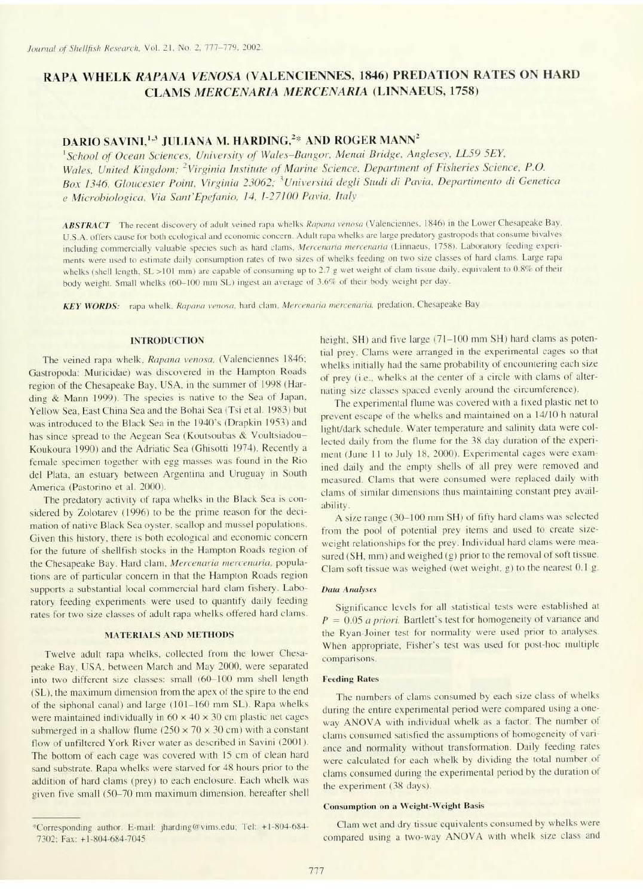## RAPA WHELK RAPANA VENOSA (VALENCIENNES, 1846) PREDATION RATES ON HARD **CLAMS MERCENARIA MERCENARIA (LINNAEUS, 1758)**

# DARIO SAVINI,<sup>1,3</sup> JULIANA M. HARDING,<sup>2</sup>\* AND ROGER MANN<sup>2</sup>

<sup>1</sup>School of Ocean Sciences, University of Wales-Bangor, Menai Bridge, Anglesey, LL59 5EY, Wales, United Kingdom; <sup>2</sup>Virginia Institute of Marine Science, Department of Fisheries Science, P.O. Box 1346, Gloucester Point, Virginia 23062; <sup>3</sup>Universitá degli Studi di Pavia, Departimento di Genetica e Microbiologica, Via Sant'Epefanio, 14, 1-27100 Pavia, Italy

ABSTRACT The recent discovery of adult veined rapa whelks Rapana venosa (Valenciennes, 1846) in the Lower Chesapeake Bay, U.S.A. offers cause for both ecological and economic concern. Adult rapa whelks are large predatory gastropods that consume bivalves including commercially valuable species such as hard clams, Mercenaria mercenaria (Linnaeus, 1758). Laboratory feeding experiments were used to estimate daily consumption rates of two sizes of whelks feeding on two size classes of hard clams. Large rapa whelks (shell length, SL >101 mm) are capable of consuming up to 2.7 g wet weight of clam tissue daily, equivalent to 0.8% of their body weight. Small whelks (60-100 mm SL) ingest an average of 3.6% of their body weight per day.

KEY WORDS: rapa whelk, Rapana venosa, hard clam, Mercenaria mercenaria, predation, Chesapeake Bay

#### **INTRODUCTION**

The veined rapa whelk, Rapana venosa, (Valenciennes 1846; Gastropoda: Muricidae) was discovered in the Hampton Roads region of the Chesapeake Bay, USA, in the summer of 1998 (Harding & Mann 1999). The species is native to the Sea of Japan, Yellow Sea, East China Sea and the Bohai Sea (Tsi et al. 1983) but was introduced to the Black Sea in the 1940's (Drapkin 1953) and has since spread to the Aegean Sea (Koutsoubas & Voultsiadou-Koukoura 1990) and the Adriatic Sea (Ghisotti 1974). Recently a female specimen together with egg masses was found in the Rio del Plata, an estuary between Argentina and Uruguay in South America (Pastorino et al. 2000).

The predatory activity of rapa whelks in the Black Sea is considered by Zolotarev (1996) to be the prime reason for the decimation of native Black Sea oyster, scallop and mussel populations. Given this history, there is both ecological and economic concern for the future of shellfish stocks in the Hampton Roads region of the Chesapeake Bay. Hard clam, Mercenaria mercenaria, populations are of particular concern in that the Hampton Roads region supports a substantial local commercial hard clam fishery. Laboratory feeding experiments were used to quantify daily feeding rates for two size classes of adult rapa whelks offered hard clams. height, SH) and five large (71-100 mm SH) hard clams as potential prey. Clams were arranged in the experimental cages so that whelks initially had the same probability of encountering each size of prey (i.e., whelks at the center of a circle with clams of alternating size classes spaced evenly around the circumference).

The experimental flume was covered with a fixed plastic net to prevent escape of the whelks and maintained on a 14/10 h natural light/dark schedule. Water temperature and salinity data were collected daily from the flume for the 38 day duration of the experiment (June 11 to July 18, 2000). Experimental cages were examined daily and the empty shells of all prey were removed and measured. Clams that were consumed were replaced daily with clams of similar dimensions thus maintaining constant prey availability. A size range (30-100 mm SH) of fifty hard clams was selected from the pool of potential prey items and used to create sizeweight relationships for the prey. Individual hard clams were measured (SH, mm) and weighed (g) prior to the removal of soft tissue. Clam soft tissue was weighed (wet weight, g) to the nearest 0.1 g.

#### **MATERIALS AND METHODS**

Twelve adult rapa whelks, collected from the lower Chesapeake Bay, USA, between March and May 2000, were separated into two different size classes: small (60-100 mm shell length (SL), the maximum dimension from the apex of the spire to the end of the siphonal canal) and large (101-160 mm SL). Rapa whelks were maintained individually in  $60 \times 40 \times 30$  cm plastic net cages submerged in a shallow flume  $(250 \times 70 \times 30 \text{ cm})$  with a constant flow of unfiltered York River water as described in Savini (2001). The bottom of each cage was covered with 15 cm of clean hard sand substrate. Rapa whelks were starved for 48 hours prior to the addition of hard clams (prey) to each enclosure. Each whelk was given five small (50-70 mm maximum dimension, hereafter shell

#### **Data Analyses**

Significance levels for all statistical tests were established at  $P = 0.05$  *a priori*. Bartlett's test for homogeneity of variance and the Ryan-Joiner test for normality were used prior to analyses. When appropriate, Fisher's test was used for post-hoc multiple comparisons.

#### **Feeding Rates**

The numbers of clams consumed by each size class of whelks during the entire experimental period were compared using a oneway ANOVA with individual whelk as a factor. The number of clams consumed satisfied the assumptions of homogeneity of variance and normality without transformation. Daily feeding rates were calculated for each whelk by dividing the total number of clams consumed during the experimental period by the duration of the experiment (38 days).

#### **Consumption on a Weight-Weight Basis**

Clam wet and dry tissue equivalents consumed by whelks were compared using a two-way ANOVA with whelk size class and

<sup>\*</sup>Corresponding author. E-mail: jharding@vims.edu; Tel: +1-804-684-7302; Fax: +1-804-684-7045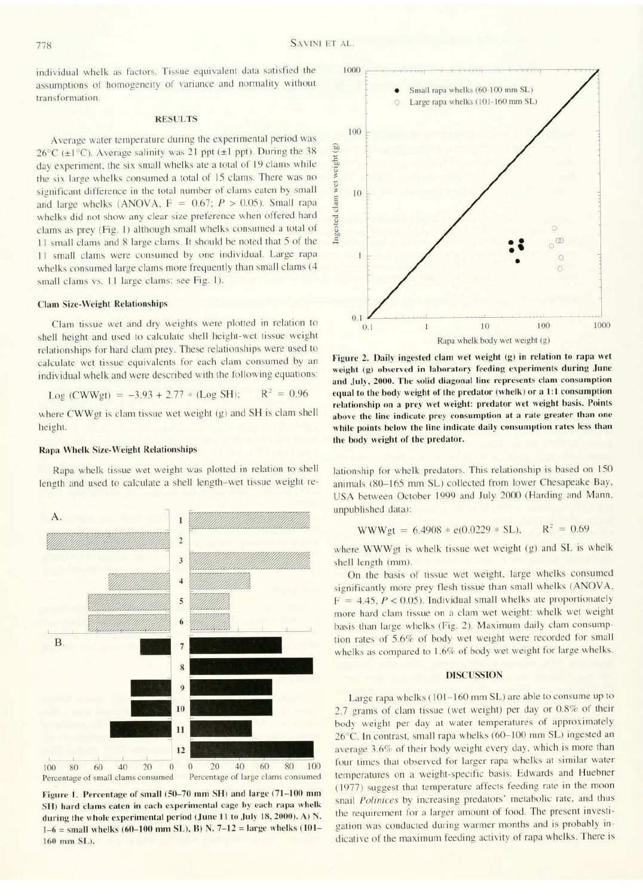individual whelk as factors. Tissue equivalent data satisfied the assumptions of homogeneity of variance and normality without transformation.

### **RESULTS**

Average water temperature during the experimental period was  $26^{\circ}$ C (±1°C). Average salinity was 21 ppt (±1 ppt). During the 38 day experiment, the six small whelks ate a total of 19 clams while the six large whelks consumed a total of 15 clams. There was no significant difference in the total number of clams eaten by small and large whelks (ANOVA,  $F = 0.67$ ;  $P > 0.05$ ). Small rapa whelks did not show any clear size preference when offered hard clams as prev (Fig. 1) although small whelks consumed a total of 11 small clams and 8 large clams. It should be noted that 5 of the 11 small clams were consumed by one individual. Large rapa whelks consumed large clams more frequently than small clams (4 small clams vs. 11 large clams; see Fig. 1).

#### **Clam Size-Weight Relationships**

Clam tissue wet and dry weights were plotted in relation to shell height and used to calculate shell height-wet tissue weight relationships for hard clam prey. These relationships were used to calculate wet tissue equivalents for each clam consumed by an individual whelk and were described with the following equations:

$$
Log (CWWgt) = -3.93 + 2.77 * (Log SH); \qquad R^2 = 0.96
$$

where CWWgt is clam tissue wet weight (g) and SH is clam shell height.

#### Rapa Whelk Size-Weight Relationships

Rapa whelk tissue wet weight was plotted in relation to shell length and used to calculate a shell length-wet tissue weight re-



Figure 2. Daily ingested clam wet weight (g) in relation to rapa wet weight (g) observed in laboratory feeding experiments during June and July, 2000. The solid diagonal line represents clam consumption equal to the body weight of the predator (whelk) or a 1:1 consumption relationship on a prey wet weight: predator wet weight basis. Points above the line indicate prey consumption at a rate greater than one while points below the line indicate daily consumption rates less than the body weight of the predator.

lationship for whelk predators. This relationship is based on 150 animals (80-165 mm SL) collected from lower Chesapeake Bay, USA between October 1999 and July 2000 (Harding and Mann,



Figure 1. Percentage of small (50-70 mm SH) and large (71-100 mm SH) hard clams eaten in each experimental cage by each rapa whelk during the whole experimental period (June 11 to July 18, 2000). A) N.  $1-6$  = small whelks (60-100 mm SL), B) N. 7-12 = large whelks (101-160 mm SL).

unpublished data):

$$
WWWgt = 6.4908 * e(0.0229 * SL), \qquad R^2 = 0.69
$$

where WWWgt is whelk tissue wet weight (g) and SL is whelk shell length (mm).

On the basis of tissue wet weight, large whelks consumed significantly more prey flesh tissue than small whelks (ANOVA,  $F = 4.45, P < 0.05$ ). Individual small whelks ate proportionately more hard clam tissue on a clam wet weight: whelk wet weight basis than large whelks (Fig. 2). Maximum daily clam consumption rates of 5.6% of body wet weight were recorded for small whelks as compared to 1.6% of body wet weight for large whelks.

#### **DISCUSSION**

Large rapa whelks (101-160 mm SL) are able to consume up to 2.7 grams of clam tissue (wet weight) per day or 0.8% of their body weight per day at water temperatures of approximately 26°C. In contrast, small rapa whelks (60-100 mm SL) ingested an average 3.6% of their body weight every day, which is more than four times that observed for larger rapa whelks at similar water temperatures on a weight-specific basis. Edwards and Huebner (1977) suggest that temperature affects feeding rate in the moon snail Polinices by increasing predators' metabolic rate, and thus the requirement for a larger amount of food. The present investigation was conducted during warmer months and is probably indicative of the maximum feeding activity of rapa whelks. There is